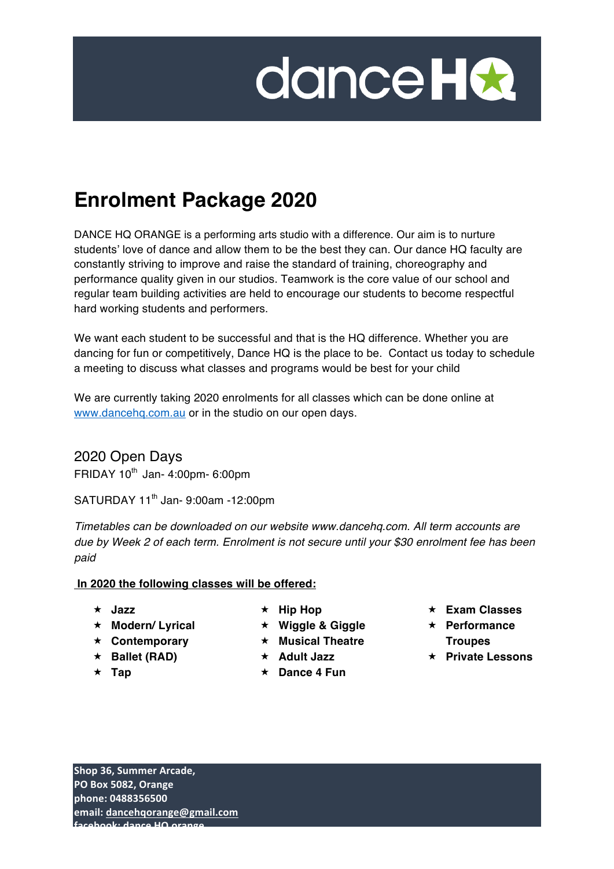

# **Enrolment Package 2020**

DANCE HQ ORANGE is a performing arts studio with a difference. Our aim is to nurture students' love of dance and allow them to be the best they can. Our dance HQ faculty are constantly striving to improve and raise the standard of training, choreography and performance quality given in our studios. Teamwork is the core value of our school and regular team building activities are held to encourage our students to become respectful hard working students and performers.

We want each student to be successful and that is the HQ difference. Whether you are dancing for fun or competitively, Dance HQ is the place to be. Contact us today to schedule a meeting to discuss what classes and programs would be best for your child.

We are currently taking 2020 enrolments for all classes which can be done online at www.dancehq.com.au or in the studio on our open days.

2020 Open Days FRIDAY  $10^{th}$  Jan- 4:00pm- 6:00pm

SATURDAY 11<sup>th</sup> Jan- 9:00am -12:00pm

*Timetables can be downloaded on our website www.dancehq.com. All term accounts are due by Week 2 of each term. Enrolment is not secure until your \$30 enrolment fee has been paid*

#### **In 2020 the following classes will be offered:**

- « **Jazz**
- « **Modern/ Lyrical**
- « **Contemporary**
- « **Ballet (RAD)**
- $\star$  **Tap**
- « **Hip Hop**
- « **Wiggle & Giggle**
- « **Musical Theatre**
- « **Adult Jazz**
- « **Dance 4 Fun**
- « **Exam Classes**
- « **Performance Troupes**
- « **Private Lessons**

**Shop 36, Summer Arcade. PO Box 5082, Orange phone: 0488356500** email: dancehqorange@gmail.com **f**acebook: **d** and *i* denote **i** HQ and *i*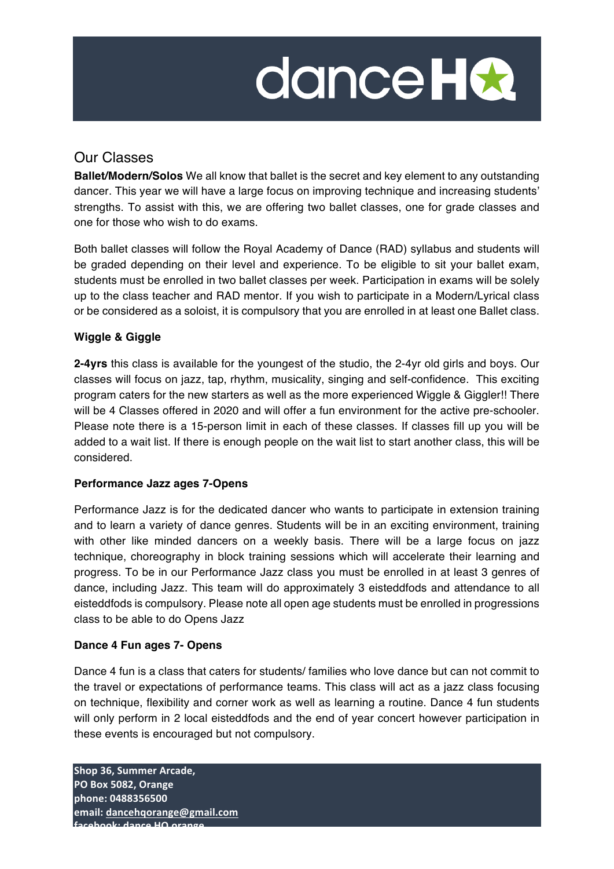$\mathcal{L}(\mathcal{L}(\mathcal{L}))$  and  $\mathcal{L}(\mathcal{L}(\mathcal{L}))$  . The contract of  $\mathcal{L}(\mathcal{L}(\mathcal{L}))$  is a set of  $\mathcal{L}(\mathcal{L})$ 

## Our Classes

**Ballet/Modern/Solos** We all know that ballet is the secret and key element to any outstanding dancer. This year we will have a large focus on improving technique and increasing students' strengths. To assist with this, we are offering two ballet classes, one for grade classes and one for those who wish to do exams.

Both ballet classes will follow the Royal Academy of Dance (RAD) syllabus and students will be graded depending on their level and experience. To be eligible to sit your ballet exam, students must be enrolled in two ballet classes per week. Participation in exams will be solely up to the class teacher and RAD mentor. If you wish to participate in a Modern/Lyrical class or be considered as a soloist, it is compulsory that you are enrolled in at least one Ballet class.

### **Wiggle & Giggle**

**2-4yrs** this class is available for the youngest of the studio, the 2-4yr old girls and boys. Our classes will focus on jazz, tap, rhythm, musicality, singing and self-confidence. This exciting program caters for the new starters as well as the more experienced Wiggle & Giggler!! There will be 4 Classes offered in 2020 and will offer a fun environment for the active pre-schooler. Please note there is a 15-person limit in each of these classes. If classes fill up you will be added to a wait list. If there is enough people on the wait list to start another class, this will be considered.

#### **Performance Jazz ages 7-Opens**

Performance Jazz is for the dedicated dancer who wants to participate in extension training and to learn a variety of dance genres. Students will be in an exciting environment, training with other like minded dancers on a weekly basis. There will be a large focus on jazz technique, choreography in block training sessions which will accelerate their learning and progress. To be in our Performance Jazz class you must be enrolled in at least 3 genres of dance, including Jazz. This team will do approximately 3 eisteddfods and attendance to all eisteddfods is compulsory. Please note all open age students must be enrolled in progressions class to be able to do Opens Jazz

### **Dance 4 Fun ages 7- Opens**

Dance 4 fun is a class that caters for students/ families who love dance but can not commit to the travel or expectations of performance teams. This class will act as a jazz class focusing on technique, flexibility and corner work as well as learning a routine. Dance 4 fun students will only perform in 2 local eisteddfods and the end of year concert however participation in these events is encouraged but not compulsory.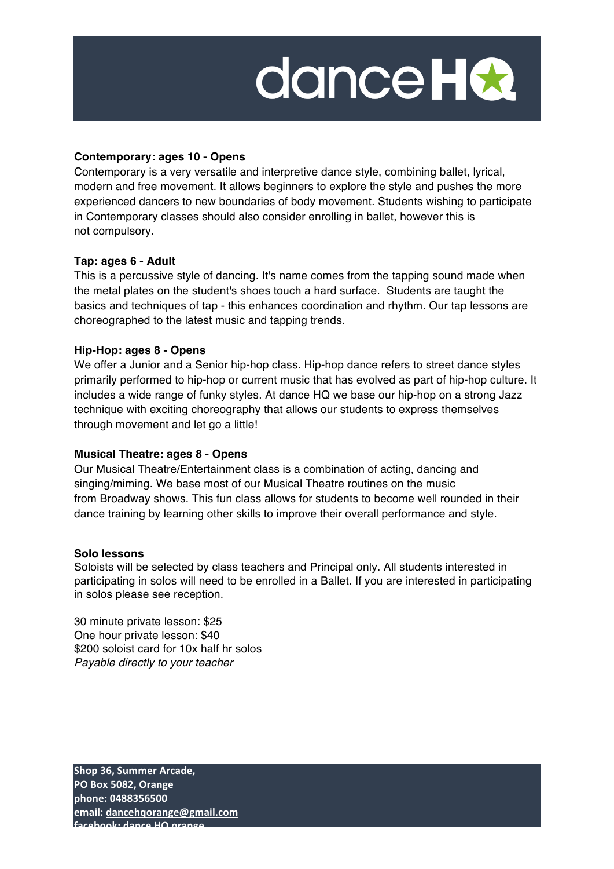$\mathcal{L}(\mathcal{L}(\mathcal{L}))$  and  $\mathcal{L}(\mathcal{L}(\mathcal{L}))$  . The contract of  $\mathcal{L}(\mathcal{L}(\mathcal{L}))$  is a set of  $\mathcal{L}(\mathcal{L})$ 

#### **Contemporary: ages 10 - Opens**

Contemporary is a very versatile and interpretive dance style, combining ballet, lyrical, modern and free movement. It allows beginners to explore the style and pushes the more experienced dancers to new boundaries of body movement. Students wishing to participate in Contemporary classes should also consider enrolling in ballet, however this is not compulsory.

#### **Tap: ages 6 - Adult**

This is a percussive style of dancing. It's name comes from the tapping sound made when the metal plates on the student's shoes touch a hard surface. Students are taught the basics and techniques of tap - this enhances coordination and rhythm. Our tap lessons are choreographed to the latest music and tapping trends.

#### **Hip-Hop: ages 8 - Opens**

We offer a Junior and a Senior hip-hop class. Hip-hop dance refers to street dance styles primarily performed to hip-hop or current music that has evolved as part of hip-hop culture. It includes a wide range of funky styles. At dance HQ we base our hip-hop on a strong Jazz technique with exciting choreography that allows our students to express themselves through movement and let go a little!

#### **Musical Theatre: ages 8 - Opens**

Our Musical Theatre/Entertainment class is a combination of acting, dancing and singing/miming. We base most of our Musical Theatre routines on the music from Broadway shows. This fun class allows for students to become well rounded in their dance training by learning other skills to improve their overall performance and style.

#### **Solo lessons**

Soloists will be selected by class teachers and Principal only. All students interested in participating in solos will need to be enrolled in a Ballet. If you are interested in participating in solos please see reception.

30 minute private lesson: \$25 One hour private lesson: \$40 \$200 soloist card for 10x half hr solos *Payable directly to your teacher*

**Shop 36, Summer Arcade, PO Box 5082, Orange phone: 0488356500** email: dancehqorange@gmail.com facebook: dance **HO** orange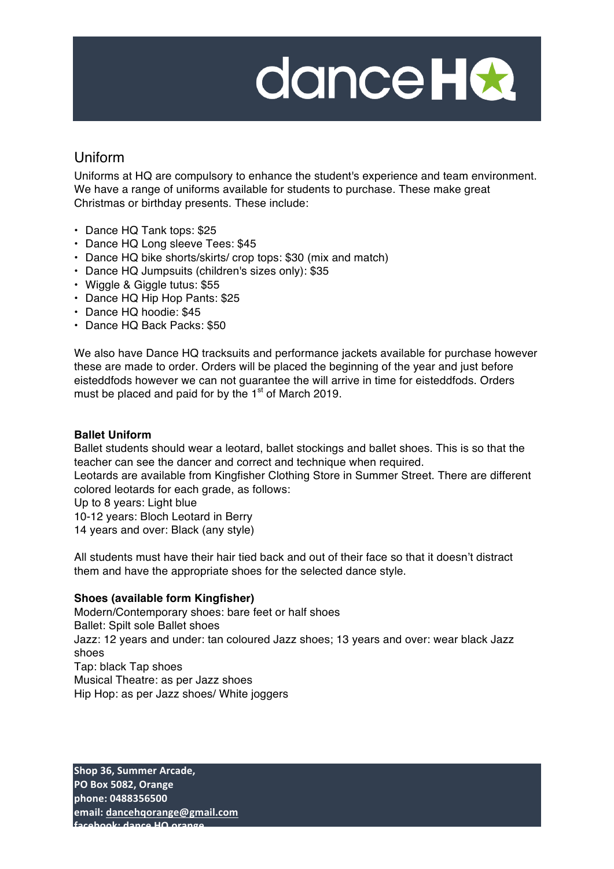$\mathcal{L}(\mathcal{L}(\mathcal{L}))$  and  $\mathcal{L}(\mathcal{L}(\mathcal{L}))$  . The contract of  $\mathcal{L}(\mathcal{L}(\mathcal{L}))$  is a set of  $\mathcal{L}(\mathcal{L})$ 

### Uniform

Uniforms at HQ are compulsory to enhance the student's experience and team environment. We have a range of uniforms available for students to purchase. These make great Christmas or birthday presents. These include:

- Dance HQ Tank tops: \$25
- Dance HQ Long sleeve Tees: \$45
- Dance HQ bike shorts/skirts/ crop tops: \$30 (mix and match)
- Dance HQ Jumpsuits (children's sizes only): \$35
- Wiggle & Giggle tutus: \$55
- Dance HQ Hip Hop Pants: \$25
- Dance HQ hoodie: \$45
- Dance HQ Back Packs: \$50

We also have Dance HQ tracksuits and performance jackets available for purchase however these are made to order. Orders will be placed the beginning of the year and just before eisteddfods however we can not guarantee the will arrive in time for eisteddfods. Orders must be placed and paid for by the  $1<sup>st</sup>$  of March 2019.

#### **Ballet Uniform**

Ballet students should wear a leotard, ballet stockings and ballet shoes. This is so that the teacher can see the dancer and correct and technique when required.

Leotards are available from Kingfisher Clothing Store in Summer Street. There are different colored leotards for each grade, as follows:

Up to 8 years: Light blue

10-12 years: Bloch Leotard in Berry

14 years and over: Black (any style)

All students must have their hair tied back and out of their face so that it doesn't distract them and have the appropriate shoes for the selected dance style.

#### **Shoes (available form Kingfisher)**

Modern/Contemporary shoes: bare feet or half shoes Ballet: Spilt sole Ballet shoes Jazz: 12 years and under: tan coloured Jazz shoes; 13 years and over: wear black Jazz shoes Tap: black Tap shoes Musical Theatre: as per Jazz shoes Hip Hop: as per Jazz shoes/ White joggers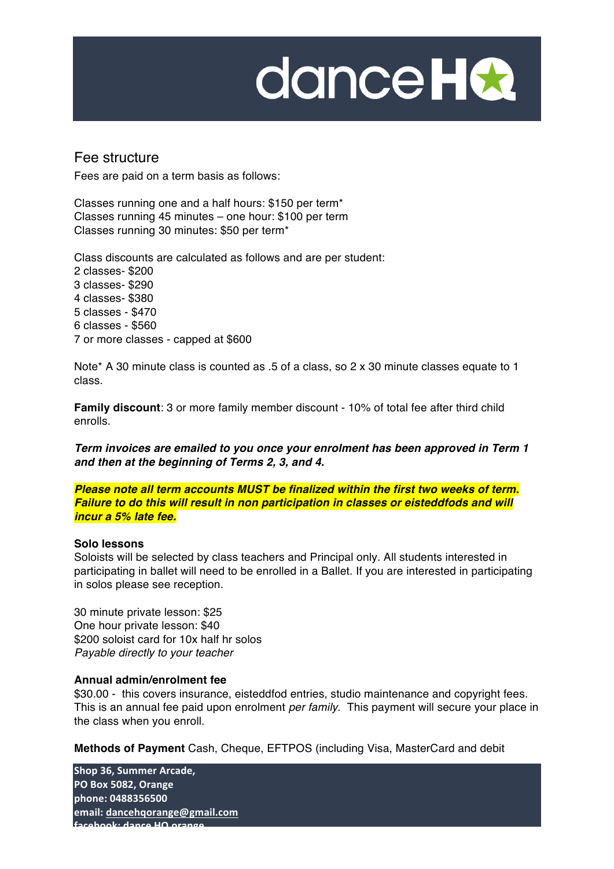$\mathcal{L}(\mathcal{L}(\mathcal{L}))$  and  $\mathcal{L}(\mathcal{L}(\mathcal{L}))$  . The contract of  $\mathcal{L}(\mathcal{L}(\mathcal{L}))$  is a set of  $\mathcal{L}(\mathcal{L})$ 

### Fee structure

Fees are paid on a term basis as follows:

Classes running one and a half hours: \$150 per term\* Classes running 45 minutes – one hour: \$100 per term Classes running 30 minutes: \$50 per term\*

Class discounts are calculated as follows and are per student: 2 classes- \$200 3 classes- \$290 4 classes- \$380 5 classes - \$470 6 classes - \$560 7 or more classes - capped at \$600

Note\* A 30 minute class is counted as .5 of a class, so 2 x 30 minute classes equate to 1 class.

**Family discount**: 3 or more family member discount - 10% of total fee after third child enrolls.

*Term invoices are emailed to you once your enrolment has been approved in Term 1 and then at the beginning of Terms 2, 3, and 4.*

*Please note all term accounts MUST be finalized within the first two weeks of term. Failure to do this will result in non participation in classes or eisteddfods and will incur a 5% late fee.*

#### **Solo lessons**

Soloists will be selected by class teachers and Principal only. All students interested in participating in ballet will need to be enrolled in a Ballet. If you are interested in participating in solos please see reception.

30 minute private lesson: \$25 One hour private lesson: \$40 \$200 soloist card for 10x half hr solos *Payable directly to your teacher*

#### **Annual admin/enrolment fee**

\$30.00 - this covers insurance, eisteddfod entries, studio maintenance and copyright fees. This is an annual fee paid upon enrolment *per family*. This payment will secure your place in the class when you enroll.

**Methods of Payment** Cash, Cheque, EFTPOS (including Visa, MasterCard and debit

**Shop 36, Summer Arcade, PO Box 5082, Orange phone: 0488356500** email: dancehqorange@gmail.com facebook: dance HO orang